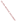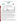## **THE ENVIRONMENTAL TECHNOLOGY VERIFICATION**







# **ETV Joint Verification Statement**

|                                       | TECHNOLOGY TYPE: RAPID TOXICITY TESTING SYSTEM                      |             |                                          |  |  |  |  |  |
|---------------------------------------|---------------------------------------------------------------------|-------------|------------------------------------------|--|--|--|--|--|
| <b>APPLICATION:</b>                   | DETECTING TOXICITY IN DRINKING WATER                                |             |                                          |  |  |  |  |  |
| TECHNOLOGY NAME: BioTox <sup>TM</sup> |                                                                     |             |                                          |  |  |  |  |  |
| <b>COMPANY:</b><br><b>ADDRESS:</b>    | <b>Hidex Oy</b><br><b>Mustionkatu 2</b><br>FIN-20750 Turku, Finland | <b>FAX:</b> | PHONE: +358 2 275 0557<br>$+35822410075$ |  |  |  |  |  |
| <b>WEB SITE:</b><br>$E\text{-}MAIL:$  | www.hidex.com<br>risto.juvonen@hidex.com                            |             |                                          |  |  |  |  |  |

The U.S. Environmental Protection Agency (EPA) supports the Environmental Technology Verification (ETV) Program to facilitate the deployment of innovative or improved environmental technologies through performance verification and dissemination of information. The goal of the ETV Program is to further environmental protection by accelerating the acceptance and use of improved and cost-effective technologies. ETV seeks to achieve this goal by providing high-quality, peer-reviewed data on technology performance to those involved in the design, distribution, financing, permitting, purchase, and use of environmental technologies.

ETV works in partnership with recognized standards and testing organizations, with stakeholder groups (consisting of buyers, vendor organizations, and permitters), and with individual technology developers. The program evaluates the performance of innovative technologies by developing test plans that are responsive to the needs of stakeholders, conducting field or laboratory tests (as appropriate), collecting and analyzing data, and preparing peer-reviewed reports. All evaluations are conducted in accordance with rigorous quality assurance (QA) protocols to ensure that data of known and adequate quality are generated and that the results are defensible.

The Advanced Monitoring Systems (AMS) Center, one of seven technology areas under ETV, is operated by Battelle in cooperation with EPA's National Exposure Research Laboratory. The AMS Center has recently evaluated the performance of rapid toxicity testing systems used to detect toxicity in drinking water. This verification statement provides a summary of the test results for the BioTox™ testing system.

### **VERIFICATION TEST DESCRIPTION**

Rapid toxicity technologies use bacteria, enzymes, or small crustaceans that produce light or use oxygen at a steady rate in the absence of toxic contaminants. Toxic contaminants in drinking water are indicated by a change in the color or intensity of light or by a change in the rate of oxygen use. As part of this verification test, which took place between July 14 and August 22, 2003, various contaminants were added to separate drinking water samples and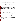analyzed by BioTox™. Response to interfering compounds in clean drinking water also was evaluated. Dechlorinated drinking water samples from Columbus, Ohio, (DDW) were fortified with contaminants at concentrations ranging from lethal levels to levels 1,000 times less than the lethal dose and analyzed. Endpoint and precision, toxicity threshold for each contaminant, false positive/negative responses, ease of use, and sample throughput were evaluated.

Inhibition results (endpoints) from four replicates of each contaminant at each concentration level were evaluated to assess the ability of the BioTox<sup>™</sup> to detect toxicity at various concentrations of contaminants, as well as to measure the precision of the BioTox™ results. The response of BioTox™ to compounds used during the water treatment process (interfering compounds) was evaluated by analyzing separate aliquots of DDW fortified with each potential interferent at approximately one-half of the concentration limit recommended by the EPA's National Secondary Drinking Water Regulations guidance. For analysis of by-products of the chlorination process, unspiked DDW was analyzed because Columbus, Ohio, uses chlorination as its disinfectant procedure. For the analysis of by-products of the chloramination process, a separate drinking water sample from St. Petersburg, Florida, which uses chloramination as its disinfection process, was obtained. The samples were analyzed after residual chlorine was removed using sodium thiosulfate. Sample throughput was measured based on the number of samples analyzed per hour. Ease of use and reliability were determined based on documented observations of the operators and the verification test coordinator.

Quality control samples included method blank samples, which consisted of American Society for Testing and Materials (ASTM) Type II deionized (DI) water; positive control samples fortified with zinc sulfate; and negative control samples, which consisted of the unspiked DDW. EPA QA staff also performed a technical systems audit while testing was being conducted.

QA oversight of verification testing was provided by Battelle and EPA. Battelle QA staff conducted a technical systems audit, a performance evaluation audit, and a data quality audit of 10% of the test data. EPA QA staff also performed a technical systems audit while testing was being conducted.

#### **TECHNOLOGY DESCRIPTION**

The following description of BioTox™ was provided by the vendor and was not subjected to verification in this test.

BioTox™ luminescent toxicity screening uses the Triathler™ luminometer, together with the freeze-dried BioTox™ reagent, to determine the inhibitory effect of water-soluble samples, including suspensions of solid samples. The BioTox™ reagent contains naturally luminescent *Vibrio fischeri*, which produce luciferase as a part of their metabolic pathway. Luciferase catalyzes the oxidation of a long-chain aldehyde and coenzyme, flavin mono-nucleotide. Substances affecting any part of the metabolic pathway of the bacteria directly affect the amount of light they emit. Toxic compounds interfere with this metabolic process, resulting in a reduction of light emission. To determine the toxicity of a sample, changes in light output are measured with the Triathler™ luminometer.

Sample dilutions and a control sample (2% sodium chloride) are pipetted into test tubes (500 microliters  $[\mu L]$ each), and the Triathler™ injector is filled with the *V. fischeri* reagent. The tube containing the control sample is placed in the Triathler™ luminometer, and 500 µL of the reagent are measured and injected. The measurement is taken after 5 seconds. The tube is set aside, and the same procedure is repeated for each sample. After a 30-minute reaction time, the tubes are shaken, and end-point readings from the control and each sample are measured. The inhibition of each sample dilution is calculated.

To determine whether a contaminant caused detectable inhibition, the inhibition exhibited by drinking water spiked with a contaminant was compared to the inhibition exhibited by the unspiked drinking water. Four replicates of each spiked sample were analyzed. A result was considered positive if the inhibition of the water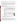sample spiked with a contaminant plus or minus the standard deviation of four replicates did not include the inhibition of the unspiked drinking water.

The BioTox™ kit, which provides for 144 measurements, contains six vials of freeze-dried *V. fischeri* reagent, six vials of reagent diluent (12.5 milliliters [mL] each), and one 50-mL bottle of concentrated sample diluent. Reagent injection and data acquisition can be performed by a computer connected to the Triathler™ luminometer. The dimensions of the Triathler™ luminometer are 10 inches by 10 inches by 6 inches, and it weighs approximately 10 pounds. It only can be operated on 110-volt alternating current electricity. The BioTox™ kit costs \$128, the Triathler<sup>™</sup> injector costs \$1,950, and the luminometer with liquid scintillation counter costs \$6,950.

### **VERIFICATION OF PERFORMANCE**

**Endpoint and Precision/Toxicity Threshold:** The table below presents BioTox™ percent inhibition data and range of standard deviations for the contaminants and potential interferences that were tested. The toxicity thresholds also are shown for each contaminant tested.

|                                             |                                                    | Lethal<br>Dose (LD)<br>Conc. |                                                                    |                |                                      | <b>Average Inhibitions at Concentrations</b><br>Relative to the LD Concentration $(\%)$ | <b>Range of</b><br><b>Standard</b> | <b>Toxicity</b><br>Thresh. |
|---------------------------------------------|----------------------------------------------------|------------------------------|--------------------------------------------------------------------|----------------|--------------------------------------|-----------------------------------------------------------------------------------------|------------------------------------|----------------------------|
| <b>Parameter</b>                            | Compound                                           | (mg/L)                       | LD                                                                 | LD/10          | LD/100                               | LD/1,000                                                                                | Deviations $(\% )$                 | (mg/L)                     |
| Contaminants in<br><b>DDW</b>               | Aldicarb                                           | 280                          | 3                                                                  | $\theta$       | $-1$                                 | $-10$                                                                                   | $3-12$                             | $\rm{ND}^{(a)}$            |
|                                             | Colchicine                                         | 240                          | $-8$                                                               | $-15$          | 10                                   | $-27$                                                                                   | $11 - 27$                          | ND                         |
|                                             | Cyanide                                            | 250                          | 96                                                                 | 61             | 10                                   | $-1$                                                                                    | $2-16$                             | 25                         |
|                                             | Dicrotophos                                        | 1,400                        | $\overline{2}$                                                     | 5              | $\overline{2}$                       | 6                                                                                       | $4 - 10$                           | ND                         |
|                                             | Thallium<br>sulfate                                | 2,400                        | 41                                                                 | 18             | 11                                   | $-4$                                                                                    | $6 - 16$                           | 24                         |
|                                             | <b>Botulinum</b><br>$\text{to}\, \text{sin}^{(b)}$ | 0.30                         | 5                                                                  | $\overline{2}$ | 10                                   | 2                                                                                       | $5 - 8$                            | ND                         |
|                                             | Ricin <sup>(c)</sup>                               | 15                           | $-5$                                                               | 3              | $\overline{2}$                       | $\Omega$                                                                                | $6 - 10$                           | ND                         |
|                                             | Soman                                              | $0.068^{(d)}$                | 7                                                                  | $-1$           | 1                                    | $\mathcal{E}$                                                                           | $2 - 3$                            | ND                         |
|                                             | VX                                                 | 0.22                         | 8                                                                  | 3              | 5                                    | $\overline{c}$                                                                          | $2-9$                              | ND                         |
| Conc.<br><b>Interference</b><br>(mg/L)      |                                                    |                              | <b>Average Inhibitions at a</b><br><b>Single Concentration (%)</b> |                | <b>Standard</b><br>Deviation $(\% )$ |                                                                                         |                                    |                            |
| Potential<br>interferences in<br><b>DDW</b> | Aluminum                                           | 0.36                         | 16                                                                 |                |                                      | 12                                                                                      |                                    |                            |
|                                             | Copper                                             | 0.65                         | 96                                                                 |                |                                      | $\overline{4}$                                                                          |                                    |                            |
|                                             | Iron                                               | 0.069                        | $\mathbf{0}$                                                       |                |                                      | $\overline{2}$                                                                          |                                    |                            |
|                                             | Manganese                                          | 0.26                         | 10                                                                 |                |                                      | 9                                                                                       |                                    |                            |
|                                             | Zinc                                               | 3.5                          | 48                                                                 |                |                                      | 10                                                                                      |                                    |                            |

 $\overline{AD}$  ND = Not detectable.

(b) Lethal dose solution also contained 3 mg/L phosphate and 1 mg/L sodium chloride.

(c) Lethal dose solution also contained 3 mg/L phosphate, 26 mg/L sodium chloride, and 2 mg/L sodium azide.<br>(d) Due to the degradation of some in water, the stock solution confirmation analysis confirmed that the conce

Due to the degradation of soman in water, the stock solution confirmation analysis confirmed that the concentration of the lethal dose was 23% of the expected concentration of 0.30 mg/L.

**False Positive/Negative Responses:** Slightly exaggerated inhibitions (false positive responses) may result if BioTox<sup>™</sup> is used to analyze chloraminated water, which produced 13%  $\pm$  2% inhibitions, with respect to ASTM Type II DI water. Inhibition greater than the negative control was not detected for lethal doses of aldicarb, colchicine, dicrotophos, botulinum toxin, ricin, soman, and VX; and, therefore, these results were considered false negative. Inhibition was -49%  $\pm$  33% for water from the system treated by chlorination, resulting in a risk of false negative responses when using ASTM Type II DI water as the control sample.